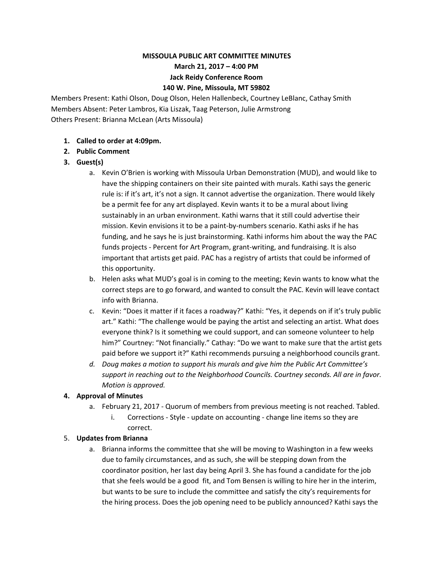# **MISSOULA PUBLIC ART COMMITTEE MINUTES**

**March 21, 2017 – 4:00 PM**

#### **Jack Reidy Conference Room**

#### **140 W. Pine, Missoula, MT 59802**

Members Present: Kathi Olson, Doug Olson, Helen Hallenbeck, Courtney LeBlanc, Cathay Smith Members Absent: Peter Lambros, Kia Liszak, Taag Peterson, Julie Armstrong Others Present: Brianna McLean (Arts Missoula)

# **1. Called to order at 4:09pm.**

**2. Public Comment**

# **3. Guest(s)**

- a. Kevin O'Brien is working with Missoula Urban Demonstration (MUD), and would like to have the shipping containers on their site painted with murals. Kathi says the generic rule is: if it's art, it's not a sign. It cannot advertise the organization. There would likely be a permit fee for any art displayed. Kevin wants it to be a mural about living sustainably in an urban environment. Kathi warns that it still could advertise their mission. Kevin envisions it to be a paint-by-numbers scenario. Kathi asks if he has funding, and he says he is just brainstorming. Kathi informs him about the way the PAC funds projects - Percent for Art Program, grant-writing, and fundraising. It is also important that artists get paid. PAC has a registry of artists that could be informed of this opportunity.
- b. Helen asks what MUD's goal is in coming to the meeting; Kevin wants to know what the correct steps are to go forward, and wanted to consult the PAC. Kevin will leave contact info with Brianna.
- c. Kevin: "Does it matter if it faces a roadway?" Kathi: "Yes, it depends on if it's truly public art." Kathi: "The challenge would be paying the artist and selecting an artist. What does everyone think? Is it something we could support, and can someone volunteer to help him?" Courtney: "Not financially." Cathay: "Do we want to make sure that the artist gets paid before we support it?" Kathi recommends pursuing a neighborhood councils grant.
- *d. Doug makes a motion to support his murals and give him the Public Art Committee's support in reaching out to the Neighborhood Councils. Courtney seconds. All are in favor. Motion is approved.*

# **4. Approval of Minutes**

- a. February 21, 2017 Quorum of members from previous meeting is not reached. Tabled.
	- i. Corrections Style update on accounting change line items so they are correct.

# 5. **Updates from Brianna**

a. Brianna informs the committee that she will be moving to Washington in a few weeks due to family circumstances, and as such, she will be stepping down from the coordinator position, her last day being April 3. She has found a candidate for the job that she feels would be a good fit, and Tom Bensen is willing to hire her in the interim, but wants to be sure to include the committee and satisfy the city's requirements for the hiring process. Does the job opening need to be publicly announced? Kathi says the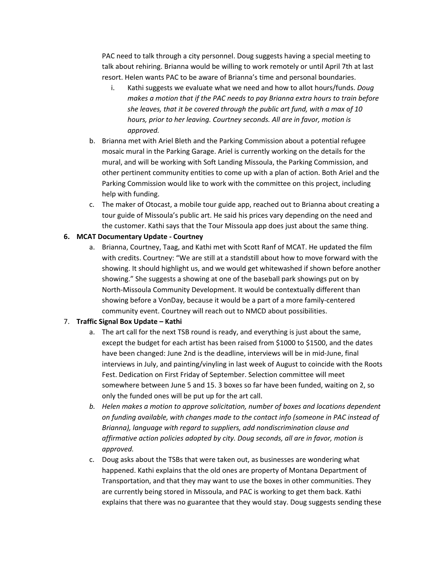PAC need to talk through a city personnel. Doug suggests having a special meeting to talk about rehiring. Brianna would be willing to work remotely or until April 7th at last resort. Helen wants PAC to be aware of Brianna's time and personal boundaries.

- i. Kathi suggests we evaluate what we need and how to allot hours/funds. *Doug makes a motion that if the PAC needs to pay Brianna extra hours to train before she leaves, that it be covered through the public art fund, with a max of 10 hours, prior to her leaving. Courtney seconds. All are in favor, motion is approved.*
- b. Brianna met with Ariel Bleth and the Parking Commission about a potential refugee mosaic mural in the Parking Garage. Ariel is currently working on the details for the mural, and will be working with Soft Landing Missoula, the Parking Commission, and other pertinent community entities to come up with a plan of action. Both Ariel and the Parking Commission would like to work with the committee on this project, including help with funding.
- c. The maker of Otocast, a mobile tour guide app, reached out to Brianna about creating a tour guide of Missoula's public art. He said his prices vary depending on the need and the customer. Kathi says that the Tour Missoula app does just about the same thing.

#### **6. MCAT Documentary Update - Courtney**

a. Brianna, Courtney, Taag, and Kathi met with Scott Ranf of MCAT. He updated the film with credits. Courtney: "We are still at a standstill about how to move forward with the showing. It should highlight us, and we would get whitewashed if shown before another showing." She suggests a showing at one of the baseball park showings put on by North-Missoula Community Development. It would be contextually different than showing before a VonDay, because it would be a part of a more family-centered community event. Courtney will reach out to NMCD about possibilities.

# 7. **Traffic Signal Box Update – Kathi**

- a. The art call for the next TSB round is ready, and everything is just about the same, except the budget for each artist has been raised from \$1000 to \$1500, and the dates have been changed: June 2nd is the deadline, interviews will be in mid-June, final interviews in July, and painting/vinyling in last week of August to coincide with the Roots Fest. Dedication on First Friday of September. Selection committee will meet somewhere between June 5 and 15. 3 boxes so far have been funded, waiting on 2, so only the funded ones will be put up for the art call.
- *b. Helen makes a motion to approve solicitation, number of boxes and locations dependent on funding available, with changes made to the contact info (someone in PAC instead of Brianna), language with regard to suppliers, add nondiscrimination clause and affirmative action policies adopted by city. Doug seconds, all are in favor, motion is approved.*
- c. Doug asks about the TSBs that were taken out, as businesses are wondering what happened. Kathi explains that the old ones are property of Montana Department of Transportation, and that they may want to use the boxes in other communities. They are currently being stored in Missoula, and PAC is working to get them back. Kathi explains that there was no guarantee that they would stay. Doug suggests sending these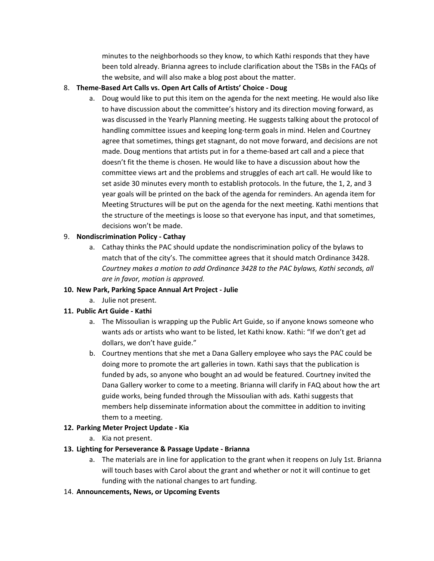minutes to the neighborhoods so they know, to which Kathi responds that they have been told already. Brianna agrees to include clarification about the TSBs in the FAQs of the website, and will also make a blog post about the matter.

# 8. **Theme-Based Art Calls vs. Open Art Calls of Artists' Choice - Doug**

a. Doug would like to put this item on the agenda for the next meeting. He would also like to have discussion about the committee's history and its direction moving forward, as was discussed in the Yearly Planning meeting. He suggests talking about the protocol of handling committee issues and keeping long-term goals in mind. Helen and Courtney agree that sometimes, things get stagnant, do not move forward, and decisions are not made. Doug mentions that artists put in for a theme-based art call and a piece that doesn't fit the theme is chosen. He would like to have a discussion about how the committee views art and the problems and struggles of each art call. He would like to set aside 30 minutes every month to establish protocols. In the future, the 1, 2, and 3 year goals will be printed on the back of the agenda for reminders. An agenda item for Meeting Structures will be put on the agenda for the next meeting. Kathi mentions that the structure of the meetings is loose so that everyone has input, and that sometimes, decisions won't be made.

#### 9. **Nondiscrimination Policy - Cathay**

a. Cathay thinks the PAC should update the nondiscrimination policy of the bylaws to match that of the city's. The committee agrees that it should match Ordinance 3428. *Courtney makes a motion to add Ordinance 3428 to the PAC bylaws, Kathi seconds, all are in favor, motion is approved.*

#### **10. New Park, Parking Space Annual Art Project - Julie**

a. Julie not present.

# **11. Public Art Guide - Kathi**

- a. The Missoulian is wrapping up the Public Art Guide, so if anyone knows someone who wants ads or artists who want to be listed, let Kathi know. Kathi: "If we don't get ad dollars, we don't have guide."
- b. Courtney mentions that she met a Dana Gallery employee who says the PAC could be doing more to promote the art galleries in town. Kathi says that the publication is funded by ads, so anyone who bought an ad would be featured. Courtney invited the Dana Gallery worker to come to a meeting. Brianna will clarify in FAQ about how the art guide works, being funded through the Missoulian with ads. Kathi suggests that members help disseminate information about the committee in addition to inviting them to a meeting.

# **12. Parking Meter Project Update - Kia**

a. Kia not present.

#### **13. Lighting for Perseverance & Passage Update - Brianna**

- a. The materials are in line for application to the grant when it reopens on July 1st. Brianna will touch bases with Carol about the grant and whether or not it will continue to get funding with the national changes to art funding.
- 14. **Announcements, News, or Upcoming Events**